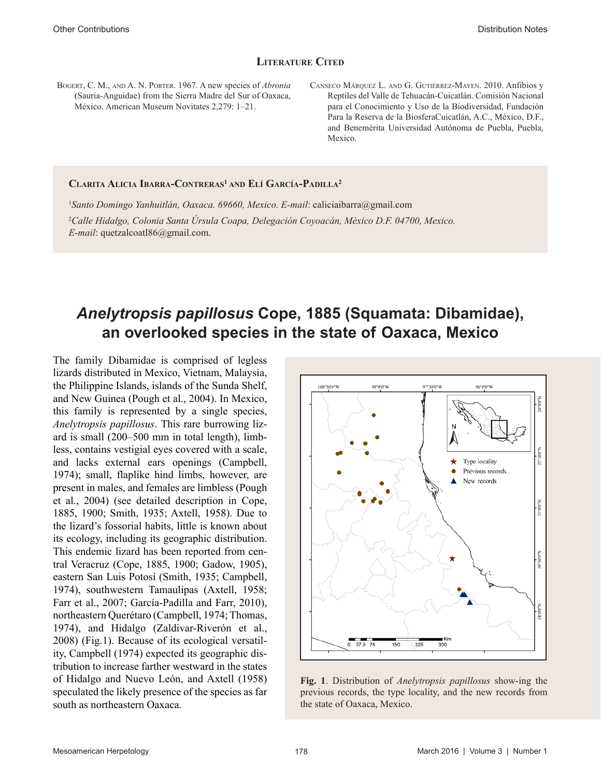# **Literature Cited**

- Bogert, C. M., and A. N. Porter. 1967. A new species of *Abronia* (Sauria-Anguidae) from the Sierra Madre del Sur of Oaxaca, México. American Museum Novitates 2,279: 1–21.
- Canseco Márquez L. and G. Gutiérrez-Mayen. 2010. Anfibios y Reptiles del Valle de Tehuacán-Cuicatlán. Comisión Nacional para el Conocimiento y Uso de la Biodiversidad, Fundación Para la Reserva de la BiosferaCuicatlán, A.C., México, D.F., and Benemérita Universidad Autónoma de Puebla, Puebla, Mexico.

#### **Clarita Alicia Ibarra-Contreras1 and Elí García-Padilla2**

1 *Santo Domingo Yanhuitlán, Oaxaca. 69660, Mexico. E-mail*: caliciaibarra@gmail.com 2 *Calle Hidalgo, Colonia Santa Úrsula Coapa, Delegación Coyoacán, México D.F. 04700, Mexico. E-mail*: quetzalcoatl86@gmail.com.

# *Anelytropsis papillosus* **Cope, 1885 (Squamata: Dibamidae), an overlooked species in the state of Oaxaca, Mexico**

The family Dibamidae is comprised of legless lizards distributed in Mexico, Vietnam, Malaysia, the Philippine Islands, islands of the Sunda Shelf, and New Guinea (Pough et al., 2004). In Mexico, this family is represented by a single species, *Anelytropsis papillosus*. This rare burrowing lizard is small (200–500 mm in total length), limbless, contains vestigial eyes covered with a scale, and lacks external ears openings (Campbell, 1974); small, flaplike hind limbs, however, are present in males, and females are limbless (Pough et al., 2004) (see detailed description in Cope, 1885, 1900; Smith, 1935; Axtell, 1958). Due to the lizard's fossorial habits, little is known about its ecology, including its geographic distribution. This endemic lizard has been reported from central Veracruz (Cope, 1885, 1900; Gadow, 1905), eastern San Luis Potosí (Smith, 1935; Campbell, 1974), southwestern Tamaulipas (Axtell, 1958; Farr et al., 2007; García-Padilla and Farr, 2010), northeastern Querétaro (Campbell, 1974; Thomas, 1974), and Hidalgo (Zaldivar-Riverón et al., 2008) (Fig.1). Because of its ecological versatility, Campbell (1974) expected its geographic distribution to increase farther westward in the states of Hidalgo and Nuevo León, and Axtell (1958) speculated the likely presence of the species as far south as northeastern Oaxaca.



**Fig. 1**. Distribution of *Anelytropsis papillosus* show-ing the previous records, the type locality, and the new records from the state of Oaxaca, Mexico.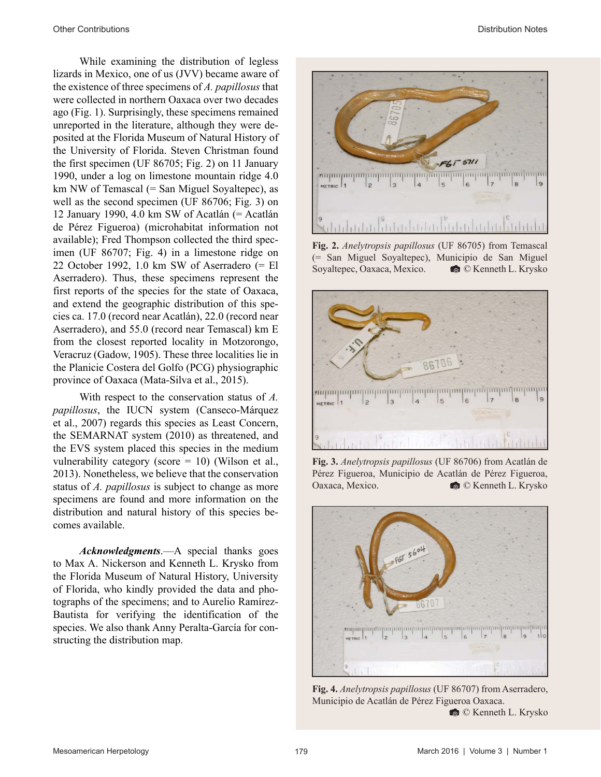While examining the distribution of legless lizards in Mexico, one of us (JVV) became aware of the existence of three specimens of *A. papillosus* that were collected in northern Oaxaca over two decades ago (Fig. 1). Surprisingly, these specimens remained unreported in the literature, although they were deposited at the Florida Museum of Natural History of the University of Florida. Steven Christman found the first specimen (UF 86705; Fig. 2) on 11 January 1990, under a log on limestone mountain ridge 4.0 km NW of Temascal (= San Miguel Soyaltepec), as well as the second specimen (UF 86706; Fig. 3) on 12 January 1990, 4.0 km SW of Acatlán (= Acatlán de Pérez Figueroa) (microhabitat information not available); Fred Thompson collected the third specimen (UF 86707; Fig. 4) in a limestone ridge on 22 October 1992, 1.0 km SW of Aserradero (= El Aserradero). Thus, these specimens represent the first reports of the species for the state of Oaxaca, and extend the geographic distribution of this species ca. 17.0 (record near Acatlán), 22.0 (record near Aserradero), and 55.0 (record near Temascal) km E from the closest reported locality in Motzorongo, Veracruz (Gadow, 1905). These three localities lie in the Planicie Costera del Golfo (PCG) physiographic province of Oaxaca (Mata-Silva et al., 2015).

With respect to the conservation status of *A. papillosus*, the IUCN system (Canseco-Márquez et al., 2007) regards this species as Least Concern, the SEMARNAT system (2010) as threatened, and the EVS system placed this species in the medium vulnerability category (score  $= 10$ ) (Wilson et al., 2013). Nonetheless, we believe that the conservation status of *A. papillosus* is subject to change as more specimens are found and more information on the distribution and natural history of this species becomes available.

*Acknowledgments*.*––*A special thanks goes to Max A. Nickerson and Kenneth L. Krysko from the Florida Museum of Natural History, University of Florida, who kindly provided the data and photographs of the specimens; and to Aurelio Ramírez-Bautista for verifying the identification of the species. We also thank Anny Peralta-García for constructing the distribution map.



**Fig. 2.** *Anelytropsis papillosus* (UF 86705) from Temascal (= San Miguel Soyaltepec), Municipio de San Miguel Soyaltepec, Oaxaca, Mexico.  $\bullet$  © Kenneth L. Krysko



**Fig. 3.** *Anelytropsis papillosus* (UF 86706) from Acatlán de Pérez Figueroa, Municipio de Acatlán de Pérez Figueroa, Oaxaca, Mexico.  $\bullet$  © Kenneth L. Krysko



**Fig. 4.** *Anelytropsis papillosus* (UF 86707) from Aserradero, Municipio de Acatlán de Pérez Figueroa Oaxaca.

' © Kenneth L. Krysko